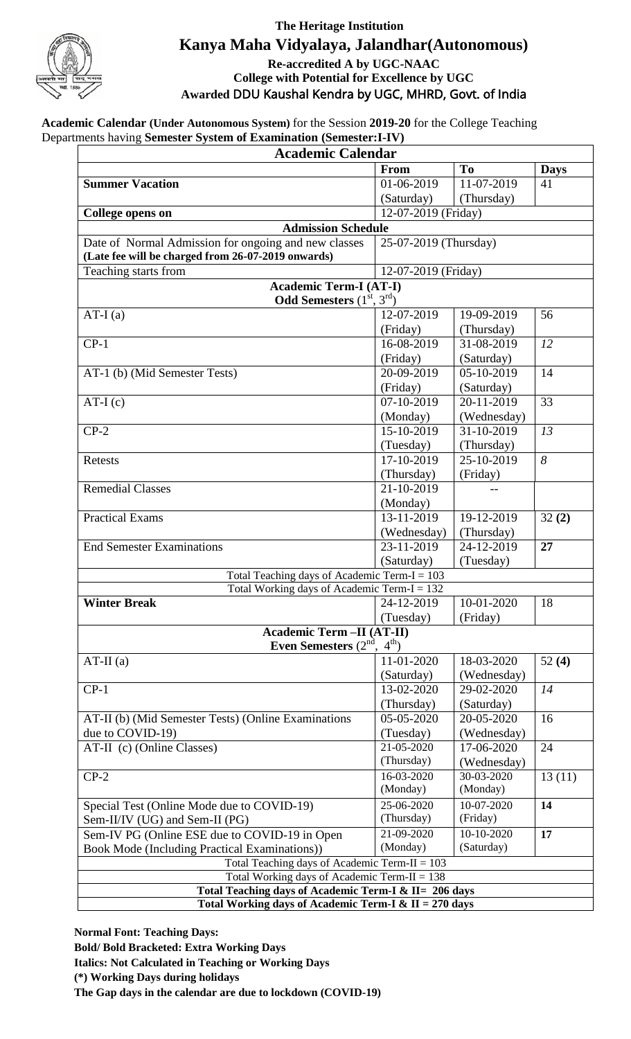

## **The Heritage Institution Kanya Maha Vidyalaya, Jalandhar(Autonomous) Re-accredited A by UGC-NAAC College with Potential for Excellence by UGC Awarded** DDU Kaushal Kendra by UGC, MHRD, Govt. of India

**Academic Calendar (Under Autonomous System)** for the Session **2019-20** for the College Teaching Departments having **Semester System of Examination (Semester:I-IV)**

| <b>To</b><br>From<br><b>Days</b><br>11-07-2019<br>01-06-2019<br>41<br>(Saturday)<br>(Thursday)<br>12-07-2019 (Friday)<br><b>College opens on</b><br><b>Admission Schedule</b><br>Date of Normal Admission for ongoing and new classes<br>25-07-2019 (Thursday)<br>(Late fee will be charged from 26-07-2019 onwards)<br>Teaching starts from<br>12-07-2019 (Friday)<br><b>Academic Term-I (AT-I)</b><br><b>Odd Semesters</b> $(1st, 3rd)$<br>AT-I $(a)$<br>12-07-2019<br>19-09-2019<br>56<br>(Friday)<br>(Thursday)<br>$CP-1$<br>31-08-2019<br>12<br>16-08-2019<br>(Saturday)<br>(Friday)<br>20-09-2019<br>05-10-2019<br>AT-1 (b) (Mid Semester Tests)<br>14<br>(Friday)<br>(Saturday)<br>07-10-2019<br>20-11-2019<br>33<br>$AT-I(c)$<br>(Monday)<br>(Wednesday)<br>15-10-2019<br>31-10-2019<br>$CP-2$<br>13<br>(Thursday)<br>(Tuesday)<br>17-10-2019<br>25-10-2019<br>8<br>Retests<br>(Friday)<br>(Thursday)<br><b>Remedial Classes</b><br>21-10-2019<br>$-$<br>(Monday)<br>13-11-2019<br><b>Practical Exams</b><br>19-12-2019<br>32(2)<br>(Thursday)<br>(Wednesday)<br>23-11-2019<br>24-12-2019<br><b>End Semester Examinations</b><br>27<br>(Saturday)<br>(Tuesday)<br>Total Teaching days of Academic Term-I = $103$<br>Total Working days of Academic Term-I = $132$<br>10-01-2020<br><b>Winter Break</b><br>24-12-2019<br>18<br>(Tuesday)<br>(Friday)<br>Academic Term -II (AT-II)<br>Even Semesters $(2nd, 4th)$<br>11-01-2020<br>$AT-II(a)$<br>18-03-2020<br>52 $(4)$<br>(Saturday)<br>(Wednesday)<br>$CP-1$<br>13-02-2020<br>29-02-2020<br>14<br>(Thursday)<br>(Saturday)<br>20-05-2020<br>AT-II (b) (Mid Semester Tests) (Online Examinations<br>05-05-2020<br>16<br>due to COVID-19)<br>(Wednesday)<br>(Tuesday)<br>21-05-2020<br>17-06-2020<br>AT-II (c) (Online Classes)<br>24<br>(Thursday)<br>(Wednesday)<br>16-03-2020<br>30-03-2020<br>13(11)<br>$CP-2$<br>(Monday)<br>(Monday)<br>$10-07-2020$<br>25-06-2020<br>Special Test (Online Mode due to COVID-19)<br>14<br>(Friday)<br>(Thursday)<br>Sem-II/IV (UG) and Sem-II (PG)<br>Sem-IV PG (Online ESE due to COVID-19 in Open<br>21-09-2020<br>10-10-2020<br>17<br>(Monday)<br>(Saturday)<br>Book Mode (Including Practical Examinations))<br>Total Teaching days of Academic Term-II = $103$<br>Total Working days of Academic Term-II = $138$<br>Total Teaching days of Academic Term-I & II= 206 days<br>Total Working days of Academic Term-I & II = 270 days | <b>Academic Calendar</b> |  |  |  |  |
|-------------------------------------------------------------------------------------------------------------------------------------------------------------------------------------------------------------------------------------------------------------------------------------------------------------------------------------------------------------------------------------------------------------------------------------------------------------------------------------------------------------------------------------------------------------------------------------------------------------------------------------------------------------------------------------------------------------------------------------------------------------------------------------------------------------------------------------------------------------------------------------------------------------------------------------------------------------------------------------------------------------------------------------------------------------------------------------------------------------------------------------------------------------------------------------------------------------------------------------------------------------------------------------------------------------------------------------------------------------------------------------------------------------------------------------------------------------------------------------------------------------------------------------------------------------------------------------------------------------------------------------------------------------------------------------------------------------------------------------------------------------------------------------------------------------------------------------------------------------------------------------------------------------------------------------------------------------------------------------------------------------------------------------------------------------------------------------------------------------------------------------------------------------------------------------------------------------------------------------------------------------------------------------------------------------------------------------------------------------------------------------------------------------------------------------|--------------------------|--|--|--|--|
|                                                                                                                                                                                                                                                                                                                                                                                                                                                                                                                                                                                                                                                                                                                                                                                                                                                                                                                                                                                                                                                                                                                                                                                                                                                                                                                                                                                                                                                                                                                                                                                                                                                                                                                                                                                                                                                                                                                                                                                                                                                                                                                                                                                                                                                                                                                                                                                                                                     |                          |  |  |  |  |
|                                                                                                                                                                                                                                                                                                                                                                                                                                                                                                                                                                                                                                                                                                                                                                                                                                                                                                                                                                                                                                                                                                                                                                                                                                                                                                                                                                                                                                                                                                                                                                                                                                                                                                                                                                                                                                                                                                                                                                                                                                                                                                                                                                                                                                                                                                                                                                                                                                     | <b>Summer Vacation</b>   |  |  |  |  |
|                                                                                                                                                                                                                                                                                                                                                                                                                                                                                                                                                                                                                                                                                                                                                                                                                                                                                                                                                                                                                                                                                                                                                                                                                                                                                                                                                                                                                                                                                                                                                                                                                                                                                                                                                                                                                                                                                                                                                                                                                                                                                                                                                                                                                                                                                                                                                                                                                                     |                          |  |  |  |  |
|                                                                                                                                                                                                                                                                                                                                                                                                                                                                                                                                                                                                                                                                                                                                                                                                                                                                                                                                                                                                                                                                                                                                                                                                                                                                                                                                                                                                                                                                                                                                                                                                                                                                                                                                                                                                                                                                                                                                                                                                                                                                                                                                                                                                                                                                                                                                                                                                                                     |                          |  |  |  |  |
|                                                                                                                                                                                                                                                                                                                                                                                                                                                                                                                                                                                                                                                                                                                                                                                                                                                                                                                                                                                                                                                                                                                                                                                                                                                                                                                                                                                                                                                                                                                                                                                                                                                                                                                                                                                                                                                                                                                                                                                                                                                                                                                                                                                                                                                                                                                                                                                                                                     |                          |  |  |  |  |
|                                                                                                                                                                                                                                                                                                                                                                                                                                                                                                                                                                                                                                                                                                                                                                                                                                                                                                                                                                                                                                                                                                                                                                                                                                                                                                                                                                                                                                                                                                                                                                                                                                                                                                                                                                                                                                                                                                                                                                                                                                                                                                                                                                                                                                                                                                                                                                                                                                     |                          |  |  |  |  |
|                                                                                                                                                                                                                                                                                                                                                                                                                                                                                                                                                                                                                                                                                                                                                                                                                                                                                                                                                                                                                                                                                                                                                                                                                                                                                                                                                                                                                                                                                                                                                                                                                                                                                                                                                                                                                                                                                                                                                                                                                                                                                                                                                                                                                                                                                                                                                                                                                                     |                          |  |  |  |  |
|                                                                                                                                                                                                                                                                                                                                                                                                                                                                                                                                                                                                                                                                                                                                                                                                                                                                                                                                                                                                                                                                                                                                                                                                                                                                                                                                                                                                                                                                                                                                                                                                                                                                                                                                                                                                                                                                                                                                                                                                                                                                                                                                                                                                                                                                                                                                                                                                                                     |                          |  |  |  |  |
|                                                                                                                                                                                                                                                                                                                                                                                                                                                                                                                                                                                                                                                                                                                                                                                                                                                                                                                                                                                                                                                                                                                                                                                                                                                                                                                                                                                                                                                                                                                                                                                                                                                                                                                                                                                                                                                                                                                                                                                                                                                                                                                                                                                                                                                                                                                                                                                                                                     |                          |  |  |  |  |
|                                                                                                                                                                                                                                                                                                                                                                                                                                                                                                                                                                                                                                                                                                                                                                                                                                                                                                                                                                                                                                                                                                                                                                                                                                                                                                                                                                                                                                                                                                                                                                                                                                                                                                                                                                                                                                                                                                                                                                                                                                                                                                                                                                                                                                                                                                                                                                                                                                     |                          |  |  |  |  |
|                                                                                                                                                                                                                                                                                                                                                                                                                                                                                                                                                                                                                                                                                                                                                                                                                                                                                                                                                                                                                                                                                                                                                                                                                                                                                                                                                                                                                                                                                                                                                                                                                                                                                                                                                                                                                                                                                                                                                                                                                                                                                                                                                                                                                                                                                                                                                                                                                                     |                          |  |  |  |  |
|                                                                                                                                                                                                                                                                                                                                                                                                                                                                                                                                                                                                                                                                                                                                                                                                                                                                                                                                                                                                                                                                                                                                                                                                                                                                                                                                                                                                                                                                                                                                                                                                                                                                                                                                                                                                                                                                                                                                                                                                                                                                                                                                                                                                                                                                                                                                                                                                                                     |                          |  |  |  |  |
|                                                                                                                                                                                                                                                                                                                                                                                                                                                                                                                                                                                                                                                                                                                                                                                                                                                                                                                                                                                                                                                                                                                                                                                                                                                                                                                                                                                                                                                                                                                                                                                                                                                                                                                                                                                                                                                                                                                                                                                                                                                                                                                                                                                                                                                                                                                                                                                                                                     |                          |  |  |  |  |
|                                                                                                                                                                                                                                                                                                                                                                                                                                                                                                                                                                                                                                                                                                                                                                                                                                                                                                                                                                                                                                                                                                                                                                                                                                                                                                                                                                                                                                                                                                                                                                                                                                                                                                                                                                                                                                                                                                                                                                                                                                                                                                                                                                                                                                                                                                                                                                                                                                     |                          |  |  |  |  |
|                                                                                                                                                                                                                                                                                                                                                                                                                                                                                                                                                                                                                                                                                                                                                                                                                                                                                                                                                                                                                                                                                                                                                                                                                                                                                                                                                                                                                                                                                                                                                                                                                                                                                                                                                                                                                                                                                                                                                                                                                                                                                                                                                                                                                                                                                                                                                                                                                                     |                          |  |  |  |  |
|                                                                                                                                                                                                                                                                                                                                                                                                                                                                                                                                                                                                                                                                                                                                                                                                                                                                                                                                                                                                                                                                                                                                                                                                                                                                                                                                                                                                                                                                                                                                                                                                                                                                                                                                                                                                                                                                                                                                                                                                                                                                                                                                                                                                                                                                                                                                                                                                                                     |                          |  |  |  |  |
|                                                                                                                                                                                                                                                                                                                                                                                                                                                                                                                                                                                                                                                                                                                                                                                                                                                                                                                                                                                                                                                                                                                                                                                                                                                                                                                                                                                                                                                                                                                                                                                                                                                                                                                                                                                                                                                                                                                                                                                                                                                                                                                                                                                                                                                                                                                                                                                                                                     |                          |  |  |  |  |
|                                                                                                                                                                                                                                                                                                                                                                                                                                                                                                                                                                                                                                                                                                                                                                                                                                                                                                                                                                                                                                                                                                                                                                                                                                                                                                                                                                                                                                                                                                                                                                                                                                                                                                                                                                                                                                                                                                                                                                                                                                                                                                                                                                                                                                                                                                                                                                                                                                     |                          |  |  |  |  |
|                                                                                                                                                                                                                                                                                                                                                                                                                                                                                                                                                                                                                                                                                                                                                                                                                                                                                                                                                                                                                                                                                                                                                                                                                                                                                                                                                                                                                                                                                                                                                                                                                                                                                                                                                                                                                                                                                                                                                                                                                                                                                                                                                                                                                                                                                                                                                                                                                                     |                          |  |  |  |  |
|                                                                                                                                                                                                                                                                                                                                                                                                                                                                                                                                                                                                                                                                                                                                                                                                                                                                                                                                                                                                                                                                                                                                                                                                                                                                                                                                                                                                                                                                                                                                                                                                                                                                                                                                                                                                                                                                                                                                                                                                                                                                                                                                                                                                                                                                                                                                                                                                                                     |                          |  |  |  |  |
|                                                                                                                                                                                                                                                                                                                                                                                                                                                                                                                                                                                                                                                                                                                                                                                                                                                                                                                                                                                                                                                                                                                                                                                                                                                                                                                                                                                                                                                                                                                                                                                                                                                                                                                                                                                                                                                                                                                                                                                                                                                                                                                                                                                                                                                                                                                                                                                                                                     |                          |  |  |  |  |
|                                                                                                                                                                                                                                                                                                                                                                                                                                                                                                                                                                                                                                                                                                                                                                                                                                                                                                                                                                                                                                                                                                                                                                                                                                                                                                                                                                                                                                                                                                                                                                                                                                                                                                                                                                                                                                                                                                                                                                                                                                                                                                                                                                                                                                                                                                                                                                                                                                     |                          |  |  |  |  |
|                                                                                                                                                                                                                                                                                                                                                                                                                                                                                                                                                                                                                                                                                                                                                                                                                                                                                                                                                                                                                                                                                                                                                                                                                                                                                                                                                                                                                                                                                                                                                                                                                                                                                                                                                                                                                                                                                                                                                                                                                                                                                                                                                                                                                                                                                                                                                                                                                                     |                          |  |  |  |  |
|                                                                                                                                                                                                                                                                                                                                                                                                                                                                                                                                                                                                                                                                                                                                                                                                                                                                                                                                                                                                                                                                                                                                                                                                                                                                                                                                                                                                                                                                                                                                                                                                                                                                                                                                                                                                                                                                                                                                                                                                                                                                                                                                                                                                                                                                                                                                                                                                                                     |                          |  |  |  |  |
|                                                                                                                                                                                                                                                                                                                                                                                                                                                                                                                                                                                                                                                                                                                                                                                                                                                                                                                                                                                                                                                                                                                                                                                                                                                                                                                                                                                                                                                                                                                                                                                                                                                                                                                                                                                                                                                                                                                                                                                                                                                                                                                                                                                                                                                                                                                                                                                                                                     |                          |  |  |  |  |
|                                                                                                                                                                                                                                                                                                                                                                                                                                                                                                                                                                                                                                                                                                                                                                                                                                                                                                                                                                                                                                                                                                                                                                                                                                                                                                                                                                                                                                                                                                                                                                                                                                                                                                                                                                                                                                                                                                                                                                                                                                                                                                                                                                                                                                                                                                                                                                                                                                     |                          |  |  |  |  |
|                                                                                                                                                                                                                                                                                                                                                                                                                                                                                                                                                                                                                                                                                                                                                                                                                                                                                                                                                                                                                                                                                                                                                                                                                                                                                                                                                                                                                                                                                                                                                                                                                                                                                                                                                                                                                                                                                                                                                                                                                                                                                                                                                                                                                                                                                                                                                                                                                                     |                          |  |  |  |  |
|                                                                                                                                                                                                                                                                                                                                                                                                                                                                                                                                                                                                                                                                                                                                                                                                                                                                                                                                                                                                                                                                                                                                                                                                                                                                                                                                                                                                                                                                                                                                                                                                                                                                                                                                                                                                                                                                                                                                                                                                                                                                                                                                                                                                                                                                                                                                                                                                                                     |                          |  |  |  |  |
|                                                                                                                                                                                                                                                                                                                                                                                                                                                                                                                                                                                                                                                                                                                                                                                                                                                                                                                                                                                                                                                                                                                                                                                                                                                                                                                                                                                                                                                                                                                                                                                                                                                                                                                                                                                                                                                                                                                                                                                                                                                                                                                                                                                                                                                                                                                                                                                                                                     |                          |  |  |  |  |
|                                                                                                                                                                                                                                                                                                                                                                                                                                                                                                                                                                                                                                                                                                                                                                                                                                                                                                                                                                                                                                                                                                                                                                                                                                                                                                                                                                                                                                                                                                                                                                                                                                                                                                                                                                                                                                                                                                                                                                                                                                                                                                                                                                                                                                                                                                                                                                                                                                     |                          |  |  |  |  |
|                                                                                                                                                                                                                                                                                                                                                                                                                                                                                                                                                                                                                                                                                                                                                                                                                                                                                                                                                                                                                                                                                                                                                                                                                                                                                                                                                                                                                                                                                                                                                                                                                                                                                                                                                                                                                                                                                                                                                                                                                                                                                                                                                                                                                                                                                                                                                                                                                                     |                          |  |  |  |  |
|                                                                                                                                                                                                                                                                                                                                                                                                                                                                                                                                                                                                                                                                                                                                                                                                                                                                                                                                                                                                                                                                                                                                                                                                                                                                                                                                                                                                                                                                                                                                                                                                                                                                                                                                                                                                                                                                                                                                                                                                                                                                                                                                                                                                                                                                                                                                                                                                                                     |                          |  |  |  |  |
|                                                                                                                                                                                                                                                                                                                                                                                                                                                                                                                                                                                                                                                                                                                                                                                                                                                                                                                                                                                                                                                                                                                                                                                                                                                                                                                                                                                                                                                                                                                                                                                                                                                                                                                                                                                                                                                                                                                                                                                                                                                                                                                                                                                                                                                                                                                                                                                                                                     |                          |  |  |  |  |
|                                                                                                                                                                                                                                                                                                                                                                                                                                                                                                                                                                                                                                                                                                                                                                                                                                                                                                                                                                                                                                                                                                                                                                                                                                                                                                                                                                                                                                                                                                                                                                                                                                                                                                                                                                                                                                                                                                                                                                                                                                                                                                                                                                                                                                                                                                                                                                                                                                     |                          |  |  |  |  |
|                                                                                                                                                                                                                                                                                                                                                                                                                                                                                                                                                                                                                                                                                                                                                                                                                                                                                                                                                                                                                                                                                                                                                                                                                                                                                                                                                                                                                                                                                                                                                                                                                                                                                                                                                                                                                                                                                                                                                                                                                                                                                                                                                                                                                                                                                                                                                                                                                                     |                          |  |  |  |  |
|                                                                                                                                                                                                                                                                                                                                                                                                                                                                                                                                                                                                                                                                                                                                                                                                                                                                                                                                                                                                                                                                                                                                                                                                                                                                                                                                                                                                                                                                                                                                                                                                                                                                                                                                                                                                                                                                                                                                                                                                                                                                                                                                                                                                                                                                                                                                                                                                                                     |                          |  |  |  |  |
|                                                                                                                                                                                                                                                                                                                                                                                                                                                                                                                                                                                                                                                                                                                                                                                                                                                                                                                                                                                                                                                                                                                                                                                                                                                                                                                                                                                                                                                                                                                                                                                                                                                                                                                                                                                                                                                                                                                                                                                                                                                                                                                                                                                                                                                                                                                                                                                                                                     |                          |  |  |  |  |
|                                                                                                                                                                                                                                                                                                                                                                                                                                                                                                                                                                                                                                                                                                                                                                                                                                                                                                                                                                                                                                                                                                                                                                                                                                                                                                                                                                                                                                                                                                                                                                                                                                                                                                                                                                                                                                                                                                                                                                                                                                                                                                                                                                                                                                                                                                                                                                                                                                     |                          |  |  |  |  |
|                                                                                                                                                                                                                                                                                                                                                                                                                                                                                                                                                                                                                                                                                                                                                                                                                                                                                                                                                                                                                                                                                                                                                                                                                                                                                                                                                                                                                                                                                                                                                                                                                                                                                                                                                                                                                                                                                                                                                                                                                                                                                                                                                                                                                                                                                                                                                                                                                                     |                          |  |  |  |  |
|                                                                                                                                                                                                                                                                                                                                                                                                                                                                                                                                                                                                                                                                                                                                                                                                                                                                                                                                                                                                                                                                                                                                                                                                                                                                                                                                                                                                                                                                                                                                                                                                                                                                                                                                                                                                                                                                                                                                                                                                                                                                                                                                                                                                                                                                                                                                                                                                                                     |                          |  |  |  |  |
|                                                                                                                                                                                                                                                                                                                                                                                                                                                                                                                                                                                                                                                                                                                                                                                                                                                                                                                                                                                                                                                                                                                                                                                                                                                                                                                                                                                                                                                                                                                                                                                                                                                                                                                                                                                                                                                                                                                                                                                                                                                                                                                                                                                                                                                                                                                                                                                                                                     |                          |  |  |  |  |
|                                                                                                                                                                                                                                                                                                                                                                                                                                                                                                                                                                                                                                                                                                                                                                                                                                                                                                                                                                                                                                                                                                                                                                                                                                                                                                                                                                                                                                                                                                                                                                                                                                                                                                                                                                                                                                                                                                                                                                                                                                                                                                                                                                                                                                                                                                                                                                                                                                     |                          |  |  |  |  |
|                                                                                                                                                                                                                                                                                                                                                                                                                                                                                                                                                                                                                                                                                                                                                                                                                                                                                                                                                                                                                                                                                                                                                                                                                                                                                                                                                                                                                                                                                                                                                                                                                                                                                                                                                                                                                                                                                                                                                                                                                                                                                                                                                                                                                                                                                                                                                                                                                                     |                          |  |  |  |  |
|                                                                                                                                                                                                                                                                                                                                                                                                                                                                                                                                                                                                                                                                                                                                                                                                                                                                                                                                                                                                                                                                                                                                                                                                                                                                                                                                                                                                                                                                                                                                                                                                                                                                                                                                                                                                                                                                                                                                                                                                                                                                                                                                                                                                                                                                                                                                                                                                                                     |                          |  |  |  |  |
|                                                                                                                                                                                                                                                                                                                                                                                                                                                                                                                                                                                                                                                                                                                                                                                                                                                                                                                                                                                                                                                                                                                                                                                                                                                                                                                                                                                                                                                                                                                                                                                                                                                                                                                                                                                                                                                                                                                                                                                                                                                                                                                                                                                                                                                                                                                                                                                                                                     |                          |  |  |  |  |
|                                                                                                                                                                                                                                                                                                                                                                                                                                                                                                                                                                                                                                                                                                                                                                                                                                                                                                                                                                                                                                                                                                                                                                                                                                                                                                                                                                                                                                                                                                                                                                                                                                                                                                                                                                                                                                                                                                                                                                                                                                                                                                                                                                                                                                                                                                                                                                                                                                     |                          |  |  |  |  |
|                                                                                                                                                                                                                                                                                                                                                                                                                                                                                                                                                                                                                                                                                                                                                                                                                                                                                                                                                                                                                                                                                                                                                                                                                                                                                                                                                                                                                                                                                                                                                                                                                                                                                                                                                                                                                                                                                                                                                                                                                                                                                                                                                                                                                                                                                                                                                                                                                                     |                          |  |  |  |  |
|                                                                                                                                                                                                                                                                                                                                                                                                                                                                                                                                                                                                                                                                                                                                                                                                                                                                                                                                                                                                                                                                                                                                                                                                                                                                                                                                                                                                                                                                                                                                                                                                                                                                                                                                                                                                                                                                                                                                                                                                                                                                                                                                                                                                                                                                                                                                                                                                                                     |                          |  |  |  |  |
|                                                                                                                                                                                                                                                                                                                                                                                                                                                                                                                                                                                                                                                                                                                                                                                                                                                                                                                                                                                                                                                                                                                                                                                                                                                                                                                                                                                                                                                                                                                                                                                                                                                                                                                                                                                                                                                                                                                                                                                                                                                                                                                                                                                                                                                                                                                                                                                                                                     |                          |  |  |  |  |
|                                                                                                                                                                                                                                                                                                                                                                                                                                                                                                                                                                                                                                                                                                                                                                                                                                                                                                                                                                                                                                                                                                                                                                                                                                                                                                                                                                                                                                                                                                                                                                                                                                                                                                                                                                                                                                                                                                                                                                                                                                                                                                                                                                                                                                                                                                                                                                                                                                     |                          |  |  |  |  |
|                                                                                                                                                                                                                                                                                                                                                                                                                                                                                                                                                                                                                                                                                                                                                                                                                                                                                                                                                                                                                                                                                                                                                                                                                                                                                                                                                                                                                                                                                                                                                                                                                                                                                                                                                                                                                                                                                                                                                                                                                                                                                                                                                                                                                                                                                                                                                                                                                                     |                          |  |  |  |  |
|                                                                                                                                                                                                                                                                                                                                                                                                                                                                                                                                                                                                                                                                                                                                                                                                                                                                                                                                                                                                                                                                                                                                                                                                                                                                                                                                                                                                                                                                                                                                                                                                                                                                                                                                                                                                                                                                                                                                                                                                                                                                                                                                                                                                                                                                                                                                                                                                                                     |                          |  |  |  |  |

**Normal Font: Teaching Days:**

**Bold/ Bold Bracketed: Extra Working Days**

**Italics: Not Calculated in Teaching or Working Days**

**(\*) Working Days during holidays**

**The Gap days in the calendar are due to lockdown (COVID-19)**